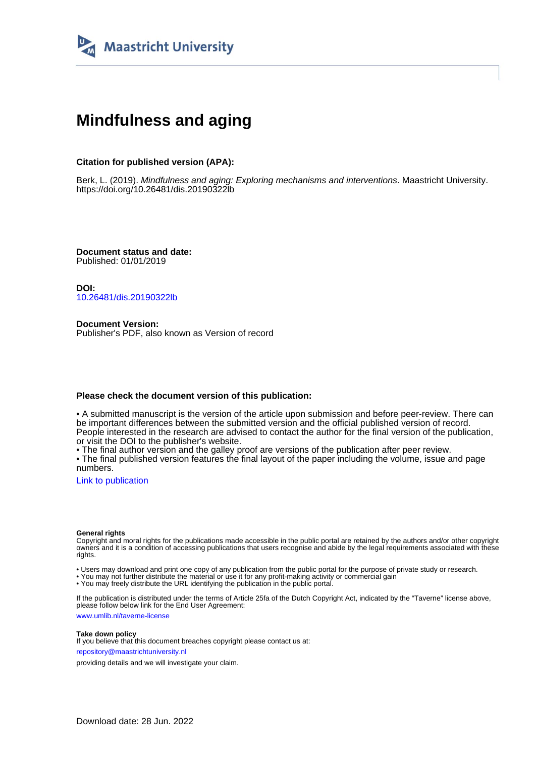

# **Mindfulness and aging**

#### **Citation for published version (APA):**

Berk, L. (2019). Mindfulness and aging: Exploring mechanisms and interventions. Maastricht University. <https://doi.org/10.26481/dis.20190322lb>

**Document status and date:** Published: 01/01/2019

**DOI:** [10.26481/dis.20190322lb](https://doi.org/10.26481/dis.20190322lb)

**Document Version:** Publisher's PDF, also known as Version of record

#### **Please check the document version of this publication:**

• A submitted manuscript is the version of the article upon submission and before peer-review. There can be important differences between the submitted version and the official published version of record. People interested in the research are advised to contact the author for the final version of the publication, or visit the DOI to the publisher's website.

• The final author version and the galley proof are versions of the publication after peer review.

• The final published version features the final layout of the paper including the volume, issue and page numbers.

[Link to publication](https://cris.maastrichtuniversity.nl/en/publications/0b575a7b-2bcb-400f-b3d5-65dfd0c5d9d7)

#### **General rights**

Copyright and moral rights for the publications made accessible in the public portal are retained by the authors and/or other copyright owners and it is a condition of accessing publications that users recognise and abide by the legal requirements associated with these rights.

• Users may download and print one copy of any publication from the public portal for the purpose of private study or research.

• You may not further distribute the material or use it for any profit-making activity or commercial gain

• You may freely distribute the URL identifying the publication in the public portal.

If the publication is distributed under the terms of Article 25fa of the Dutch Copyright Act, indicated by the "Taverne" license above, please follow below link for the End User Agreement:

www.umlib.nl/taverne-license

#### **Take down policy**

If you believe that this document breaches copyright please contact us at: repository@maastrichtuniversity.nl

providing details and we will investigate your claim.